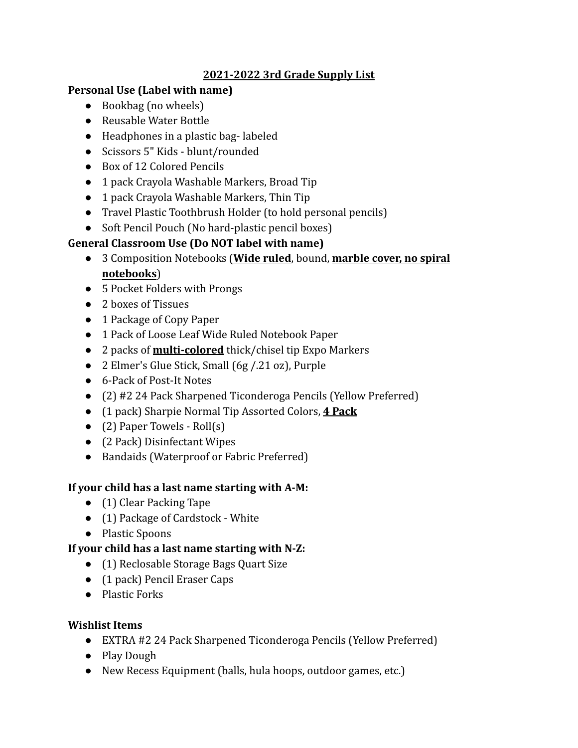## **2021-2022 3rd Grade Supply List**

### **Personal Use (Label with name)**

- Bookbag (no wheels)
- Reusable Water Bottle
- Headphones in a plastic bag- labeled
- Scissors 5" Kids blunt/rounded
- Box of 12 Colored Pencils
- 1 pack Crayola Washable Markers, Broad Tip
- 1 pack Crayola Washable Markers, Thin Tip
- Travel Plastic Toothbrush Holder (to hold personal pencils)
- Soft Pencil Pouch (No hard-plastic pencil boxes)

# **General Classroom Use (Do NOT label with name)**

- 3 Composition Notebooks (**Wide ruled**, bound, **marble cover, no spiral notebooks**)
- 5 Pocket Folders with Prongs
- 2 boxes of Tissues
- 1 Package of Copy Paper
- 1 Pack of Loose Leaf Wide Ruled Notebook Paper
- 2 packs of **multi-colored** thick/chisel tip Expo Markers
- 2 Elmer's Glue Stick, Small (6g / 21 oz), Purple
- 6-Pack of Post-It Notes
- (2) #2 24 Pack Sharpened Ticonderoga Pencils (Yellow Preferred)
- (1 pack) Sharpie Normal Tip Assorted Colors, **4 Pack**
- $\bullet$  (2) Paper Towels Roll(s)
- (2 Pack) Disinfectant Wipes
- Bandaids (Waterproof or Fabric Preferred)

## **If your child has a last name starting with A-M:**

- (1) Clear Packing Tape
- (1) Package of Cardstock White
- Plastic Spoons

## **If your child has a last name starting with N-Z:**

- (1) Reclosable Storage Bags Quart Size
- (1 pack) Pencil Eraser Caps
- Plastic Forks

## **Wishlist Items**

- EXTRA #2 24 Pack Sharpened Ticonderoga Pencils (Yellow Preferred)
- Play Dough
- New Recess Equipment (balls, hula hoops, outdoor games, etc.)